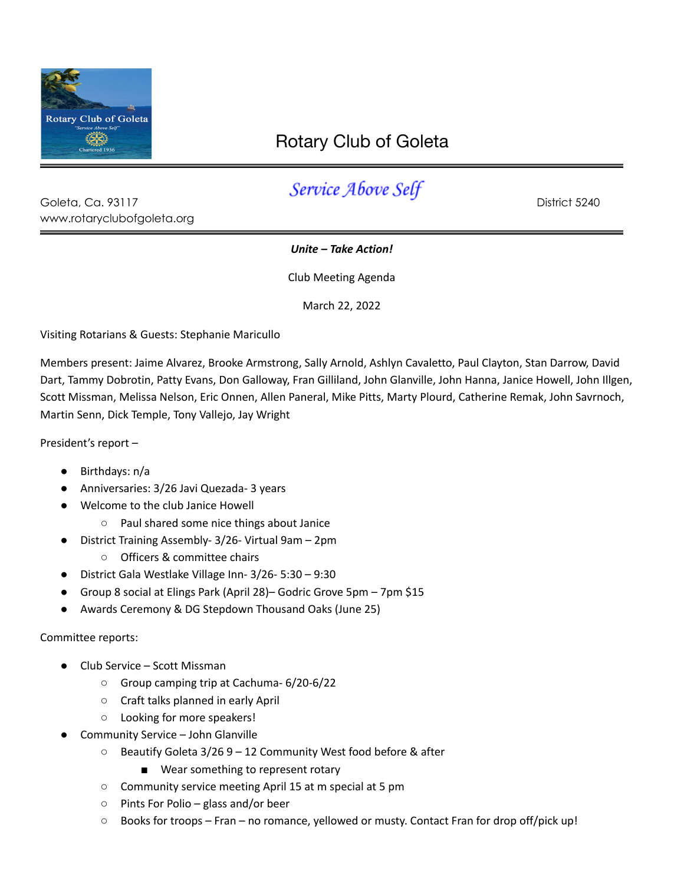

www.rotaryclubofgoleta.org

## Rotary Club of Goleta

## Goleta, Ca. 93117 **Service Above Self** District 5240

## *Unite – Take Action!*

Club Meeting Agenda

March 22, 2022

Visiting Rotarians & Guests: Stephanie Maricullo

Members present: Jaime Alvarez, Brooke Armstrong, Sally Arnold, Ashlyn Cavaletto, Paul Clayton, Stan Darrow, David Dart, Tammy Dobrotin, Patty Evans, Don Galloway, Fran Gilliland, John Glanville, John Hanna, Janice Howell, John Illgen, Scott Missman, Melissa Nelson, Eric Onnen, Allen Paneral, Mike Pitts, Marty Plourd, Catherine Remak, John Savrnoch, Martin Senn, Dick Temple, Tony Vallejo, Jay Wright

President's report –

- Birthdays: n/a
- Anniversaries: 3/26 Javi Quezada- 3 years
- Welcome to the club Janice Howell
	- Paul shared some nice things about Janice
- District Training Assembly- 3/26- Virtual 9am 2pm
	- Officers & committee chairs
- District Gala Westlake Village Inn- 3/26- 5:30 9:30
- Group 8 social at Elings Park (April 28)– Godric Grove 5pm 7pm \$15
- Awards Ceremony & DG Stepdown Thousand Oaks (June 25)

## Committee reports:

- Club Service Scott Missman
	- Group camping trip at Cachuma- 6/20-6/22
	- Craft talks planned in early April
	- Looking for more speakers!
- Community Service John Glanville
	- Beautify Goleta 3/26 9 12 Community West food before & after
		- Wear something to represent rotary
	- Community service meeting April 15 at m special at 5 pm
	- Pints For Polio glass and/or beer
	- Books for troops Fran no romance, yellowed or musty. Contact Fran for drop off/pick up!